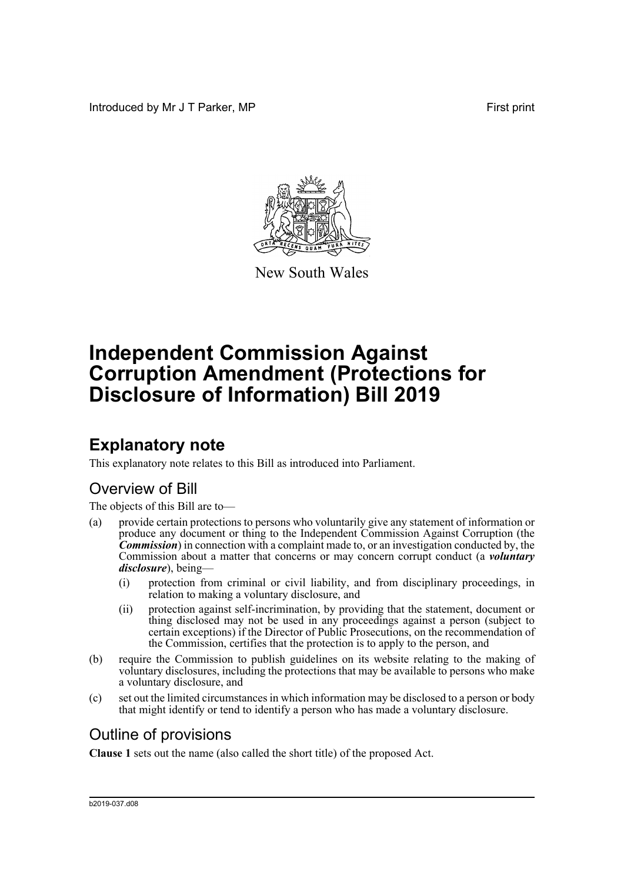Introduced by Mr J T Parker, MP First print



New South Wales

# **Independent Commission Against Corruption Amendment (Protections for Disclosure of Information) Bill 2019**

## **Explanatory note**

This explanatory note relates to this Bill as introduced into Parliament.

### Overview of Bill

The objects of this Bill are to—

- (a) provide certain protections to persons who voluntarily give any statement of information or produce any document or thing to the Independent Commission Against Corruption (the *Commission*) in connection with a complaint made to, or an investigation conducted by, the Commission about a matter that concerns or may concern corrupt conduct (a *voluntary disclosure*), being—
	- (i) protection from criminal or civil liability, and from disciplinary proceedings, in relation to making a voluntary disclosure, and
	- (ii) protection against self-incrimination, by providing that the statement, document or thing disclosed may not be used in any proceedings against a person (subject to certain exceptions) if the Director of Public Prosecutions, on the recommendation of the Commission, certifies that the protection is to apply to the person, and
- (b) require the Commission to publish guidelines on its website relating to the making of voluntary disclosures, including the protections that may be available to persons who make a voluntary disclosure, and
- (c) set out the limited circumstances in which information may be disclosed to a person or body that might identify or tend to identify a person who has made a voluntary disclosure.

### Outline of provisions

**Clause 1** sets out the name (also called the short title) of the proposed Act.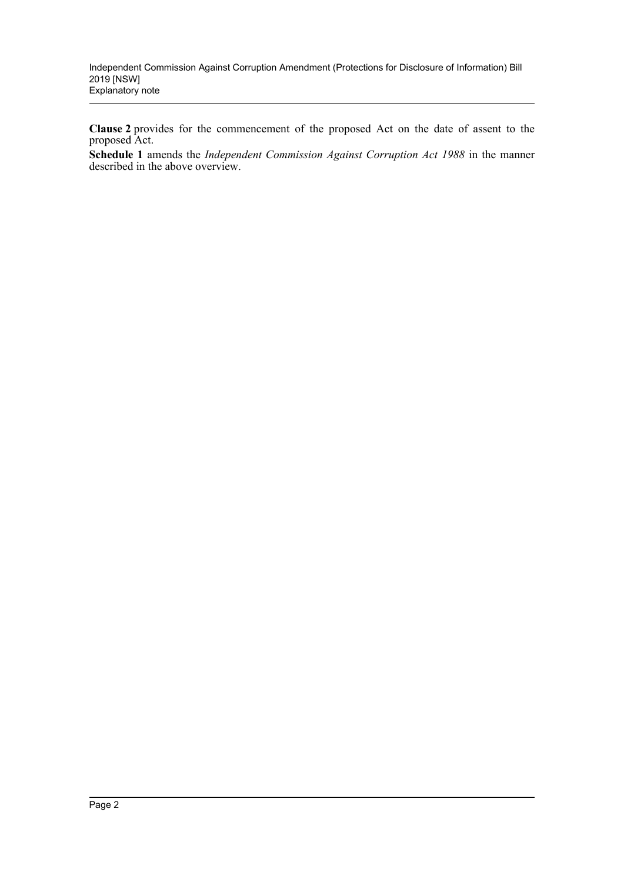**Clause 2** provides for the commencement of the proposed Act on the date of assent to the proposed Act.

**Schedule 1** amends the *Independent Commission Against Corruption Act 1988* in the manner described in the above overview.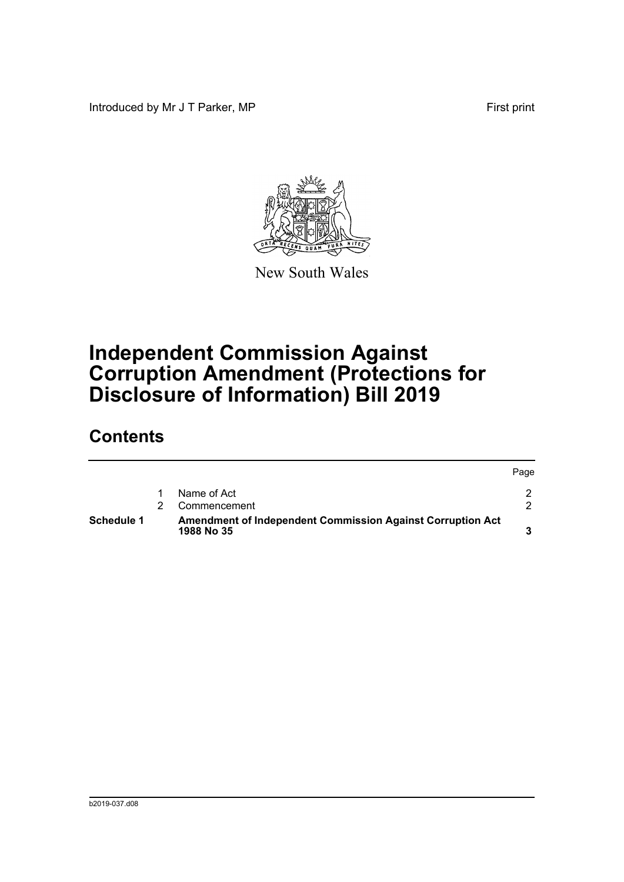Introduced by Mr J T Parker, MP First print



New South Wales

# **Independent Commission Against Corruption Amendment (Protections for Disclosure of Information) Bill 2019**

## **Contents**

|                   |                                                                                 | Page |
|-------------------|---------------------------------------------------------------------------------|------|
|                   | Name of Act                                                                     |      |
|                   | Commencement                                                                    |      |
| <b>Schedule 1</b> | <b>Amendment of Independent Commission Against Corruption Act</b><br>1988 No 35 |      |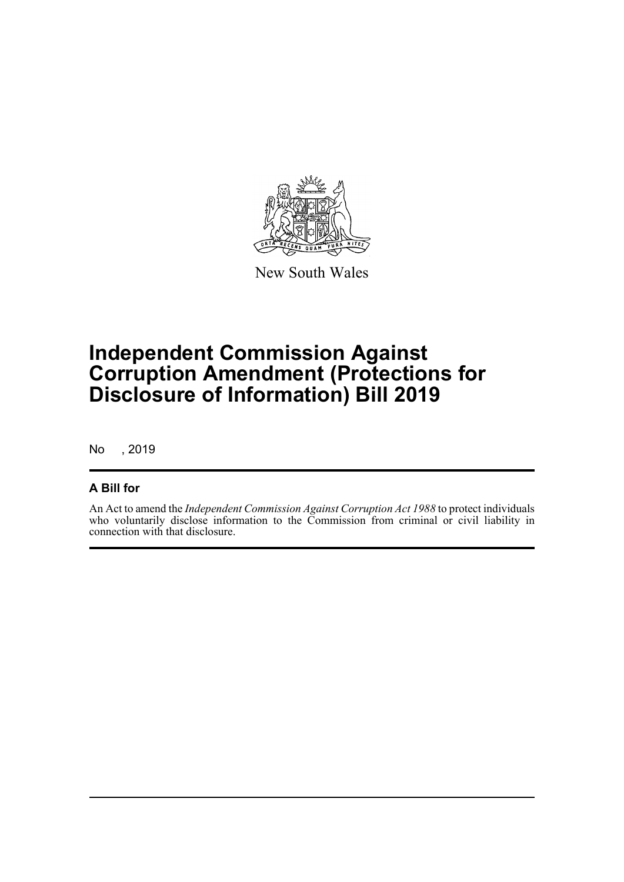

New South Wales

## **Independent Commission Against Corruption Amendment (Protections for Disclosure of Information) Bill 2019**

No , 2019

#### **A Bill for**

An Act to amend the *Independent Commission Against Corruption Act 1988* to protect individuals who voluntarily disclose information to the Commission from criminal or civil liability in connection with that disclosure.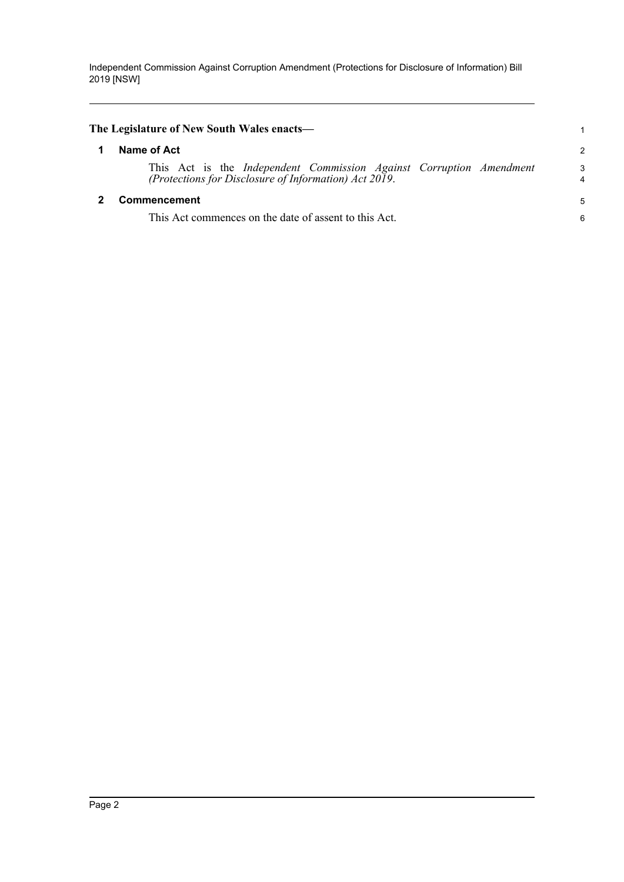Independent Commission Against Corruption Amendment (Protections for Disclosure of Information) Bill 2019 [NSW]

<span id="page-4-1"></span><span id="page-4-0"></span>

| Name of Act                                                         | $\mathcal{P}$ |
|---------------------------------------------------------------------|---------------|
|                                                                     |               |
| This Act is the Independent Commission Against Corruption Amendment | 3             |
| (Protections for Disclosure of Information) Act 2019.               | 4             |
| Commencement                                                        | 5             |
| This Act commences on the date of assent to this Act.               | 6             |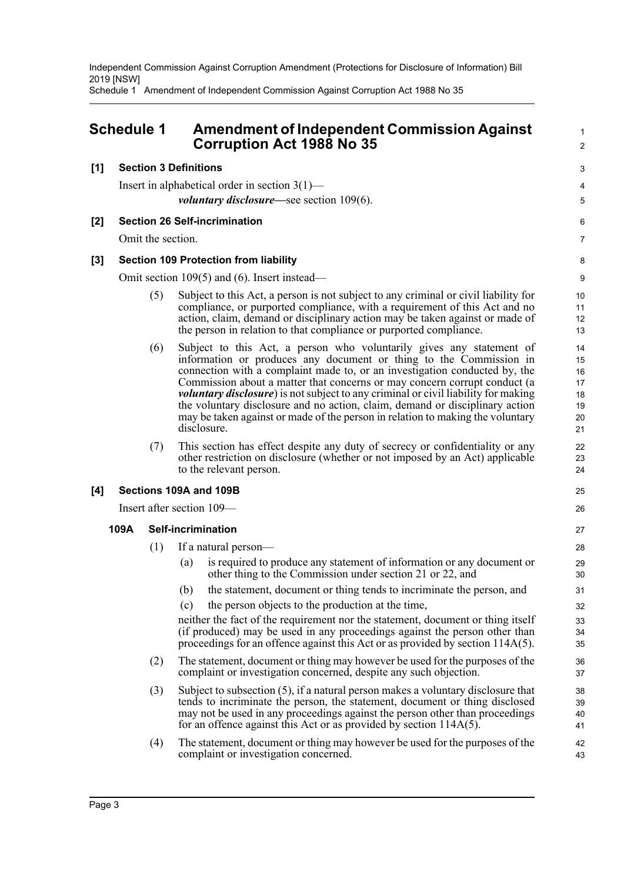Independent Commission Against Corruption Amendment (Protections for Disclosure of Information) Bill 2019 [NSW]

Schedule 1 Amendment of Independent Commission Against Corruption Act 1988 No 35

### <span id="page-5-0"></span>**Schedule 1 Amendment of Independent Commission Against Corruption Act 1988 No 35**

#### **[1] Section 3 Definitions**

Insert in alphabetical order in section 3(1) *voluntary disclosure—*see section 109(6).

#### **[2] Section 26 Self-incrimination**

Omit the section.

#### **[3] Section 109 Protection from liability**

Omit section 109(5) and (6). Insert instead—

(5) Subject to this Act, a person is not subject to any criminal or civil liability for compliance, or purported compliance, with a requirement of this Act and no action, claim, demand or disciplinary action may be taken against or made of the person in relation to that compliance or purported compliance.

1  $\mathfrak{p}$ 

3  $\boldsymbol{\Lambda}$ 5

6 7

- (6) Subject to this Act, a person who voluntarily gives any statement of information or produces any document or thing to the Commission in connection with a complaint made to, or an investigation conducted by, the Commission about a matter that concerns or may concern corrupt conduct (a *voluntary disclosure*) is not subject to any criminal or civil liability for making the voluntary disclosure and no action, claim, demand or disciplinary action may be taken against or made of the person in relation to making the voluntary disclosure.
- (7) This section has effect despite any duty of secrecy or confidentiality or any other restriction on disclosure (whether or not imposed by an Act) applicable to the relevant person.

#### **[4] Sections 109A and 109B**

Insert after section 109—

#### **109A Self-incrimination**

- (1) If a natural person—
	- (a) is required to produce any statement of information or any document or other thing to the Commission under section 21 or 22, and
	- (b) the statement, document or thing tends to incriminate the person, and
	- (c) the person objects to the production at the time,

neither the fact of the requirement nor the statement, document or thing itself (if produced) may be used in any proceedings against the person other than proceedings for an offence against this Act or as provided by section 114A(5).

- (2) The statement, document or thing may however be used for the purposes of the complaint or investigation concerned, despite any such objection.
- (3) Subject to subsection (5), if a natural person makes a voluntary disclosure that tends to incriminate the person, the statement, document or thing disclosed may not be used in any proceedings against the person other than proceedings for an offence against this Act or as provided by section 114A(5).
- (4) The statement, document or thing may however be used for the purposes of the complaint or investigation concerned.